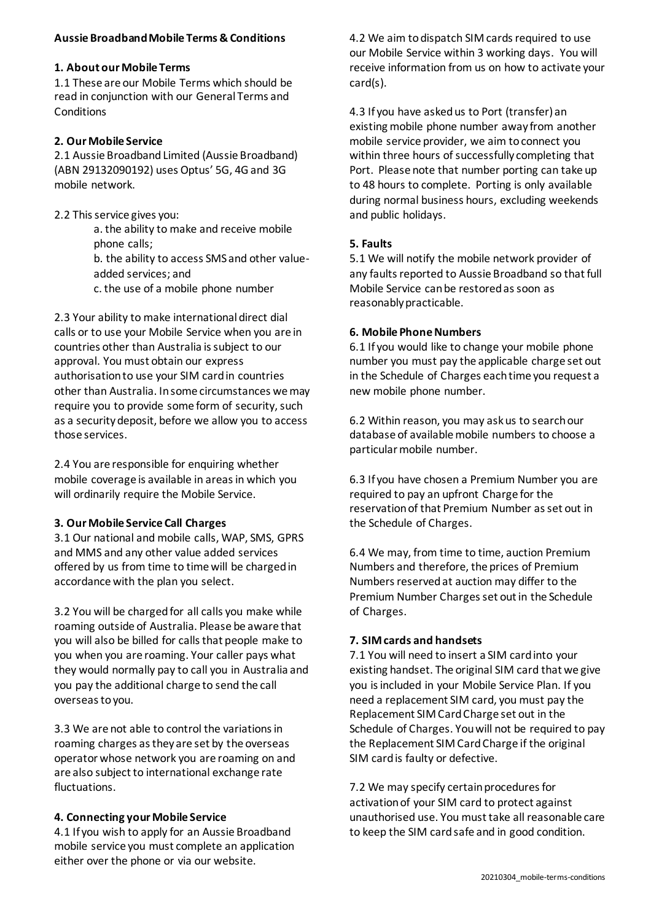## **Aussie Broadband Mobile Terms & Conditions**

### **1. About our Mobile Terms**

1.1 These are our Mobile Terms which should be read in conjunction with our General Terms and **Conditions** 

### **2. Our Mobile Service**

2.1 Aussie Broadband Limited (Aussie Broadband) (ABN 29132090192) uses Optus' 5G, 4G and 3G mobile network.

2.2 This service gives you:

a. the ability to make and receive mobile phone calls; b. the ability to access SMS and other valueadded services; and c. the use of a mobile phone number

2.3 Your ability to make international direct dial calls or to use your Mobile Service when you are in countries other than Australia is subject to our approval. You must obtain our express authorisation to use your SIM card in countries other than Australia. In some circumstances we may require you to provide some form of security, such as a security deposit, before we allow you to access those services.

2.4 You are responsible for enquiring whether mobile coverage is available in areas in which you will ordinarily require the Mobile Service.

### **3. Our Mobile Service Call Charges**

3.1 Our national and mobile calls, WAP, SMS, GPRS and MMS and any other value added services offered by us from time to time will be charged in accordance with the plan you select.

3.2 You will be charged for all calls you make while roaming outside of Australia. Please be aware that you will also be billed for calls that people make to you when you are roaming. Your caller pays what they would normally pay to call you in Australia and you pay the additional charge to send the call overseas to you.

3.3 We are not able to control the variations in roaming charges as they are set by the overseas operator whose network you are roaming on and are also subject to international exchange rate fluctuations.

### **4. Connecting your Mobile Service**

4.1 If you wish to apply for an Aussie Broadband mobile service you must complete an application either over the phone or via our website.

4.2 We aim to dispatch SIM cards required to use our Mobile Service within 3 working days. You will receive information from us on how to activate your card(s).

4.3 If you have asked us to Port (transfer) an existing mobile phone number away from another mobile service provider, we aim to connect you within three hours of successfully completing that Port. Please note that number porting can take up to 48 hours to complete. Porting is only available during normal business hours, excluding weekends and public holidays.

## **5. Faults**

5.1 We will notify the mobile network provider of any faults reported to Aussie Broadband so that full Mobile Service can be restored as soon as reasonably practicable.

## **6. Mobile Phone Numbers**

6.1 If you would like to change your mobile phone number you must pay the applicable charge set out in the Schedule of Charges each time you request a new mobile phone number.

6.2 Within reason, you may ask us to search our database of available mobile numbers to choose a particular mobile number.

6.3 If you have chosen a Premium Number you are required to pay an upfront Charge for the reservation of that Premium Number as set out in the Schedule of Charges.

6.4 We may, from time to time, auction Premium Numbers and therefore, the prices of Premium Numbers reserved at auction may differ to the Premium Number Charges set out in the Schedule of Charges.

# **7. SIM cards and handsets**

7.1 You will need to insert a SIM card into your existing handset. The original SIM card that we give you is included in your Mobile Service Plan. If you need a replacement SIM card, you must pay the Replacement SIM Card Charge set out in the Schedule of Charges. You will not be required to pay the Replacement SIM Card Charge if the original SIM card is faulty or defective.

7.2 We may specify certain procedures for activation of your SIM card to protect against unauthorised use. You must take all reasonable care to keep the SIM card safe and in good condition.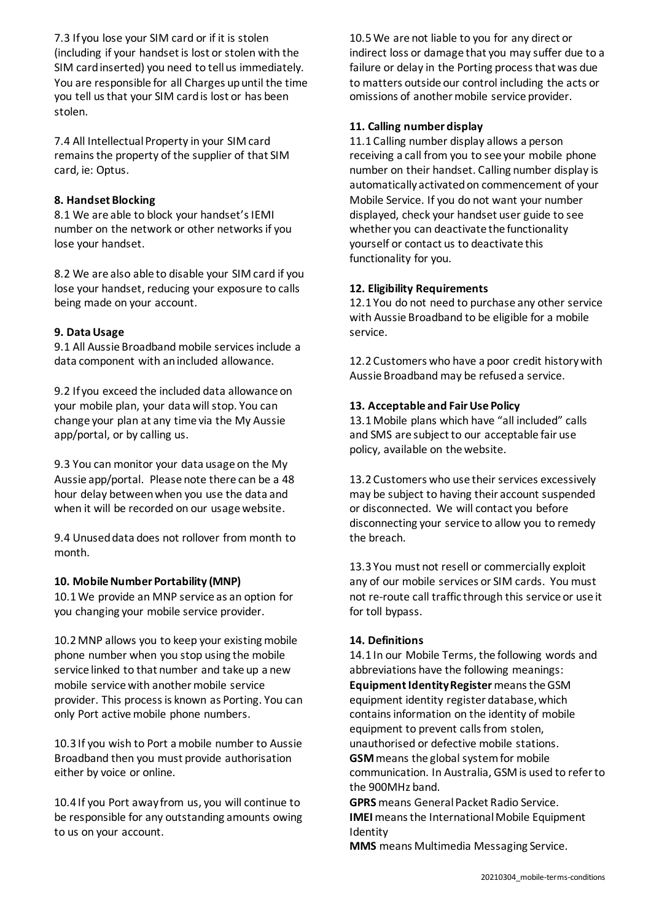7.3 If you lose your SIM card or if it is stolen (including if your handset is lost or stolen with the SIM card inserted) you need to tell us immediately. You are responsible for all Charges up until the time you tell us that your SIM card is lost or has been stolen.

7.4 All Intellectual Property in your SIM card remains the property of the supplier of that SIM card, ie: Optus.

## **8. Handset Blocking**

8.1 We are able to block your handset's IEMI number on the network or other networks if you lose your handset.

8.2 We are also able to disable your SIM card if you lose your handset, reducing your exposure to calls being made on your account.

## **9. Data Usage**

9.1 All Aussie Broadband mobile services include a data component with an included allowance.

9.2 If you exceed the included data allowance on your mobile plan, your data will stop. You can change your plan at any time via the My Aussie app/portal, or by calling us.

9.3 You can monitor your data usage on the My Aussie app/portal. Please note there can be a 48 hour delay between when you use the data and when it will be recorded on our usage website.

9.4 Unused data does not rollover from month to month.

### **10. Mobile Number Portability (MNP)**

10.1 We provide an MNP service as an option for you changing your mobile service provider.

10.2 MNP allows you to keep your existing mobile phone number when you stop using the mobile service linked to that number and take up a new mobile service with another mobile service provider. This process is known as Porting. You can only Port active mobile phone numbers.

10.3 If you wish to Port a mobile number to Aussie Broadband then you must provide authorisation either by voice or online.

10.4 If you Port away from us, you will continue to be responsible for any outstanding amounts owing to us on your account.

10.5 We are not liable to you for any direct or indirect loss or damage that you may suffer due to a failure or delay in the Porting process that was due to matters outside our control including the acts or omissions of another mobile service provider.

## **11. Calling number display**

11.1 Calling number display allows a person receiving a call from you to see your mobile phone number on their handset. Calling number display is automatically activated on commencement of your Mobile Service. If you do not want your number displayed, check your handset user guide to see whether you can deactivate the functionality yourself or contact us to deactivate this functionality for you.

### **12. Eligibility Requirements**

12.1 You do not need to purchase any other service with Aussie Broadband to be eligible for a mobile service.

12.2 Customers who have a poor credit history with Aussie Broadband may be refused a service.

## **13. Acceptable and Fair Use Policy**

13.1 Mobile plans which have "all included" calls and SMS are subject to our acceptable fair use policy, available on the website.

13.2 Customers who use their services excessively may be subject to having their account suspended or disconnected. We will contact you before disconnecting your service to allow you to remedy the breach.

13.3 You must not resell or commercially exploit any of our mobile services or SIM cards. You must not re-route call traffic through this service or use it for toll bypass.

### **14. Definitions**

14.1 In our Mobile Terms, the following words and abbreviations have the following meanings: **Equipment Identity Register** means the GSM equipment identity register database, which contains information on the identity of mobile equipment to prevent calls from stolen, unauthorised or defective mobile stations. **GSM** means the global system for mobile communication. In Australia, GSM is used to refer to the 900MHz band.

**GPRS** means General Packet Radio Service. **IMEI** means the International Mobile Equipment Identity

**MMS** means Multimedia Messaging Service.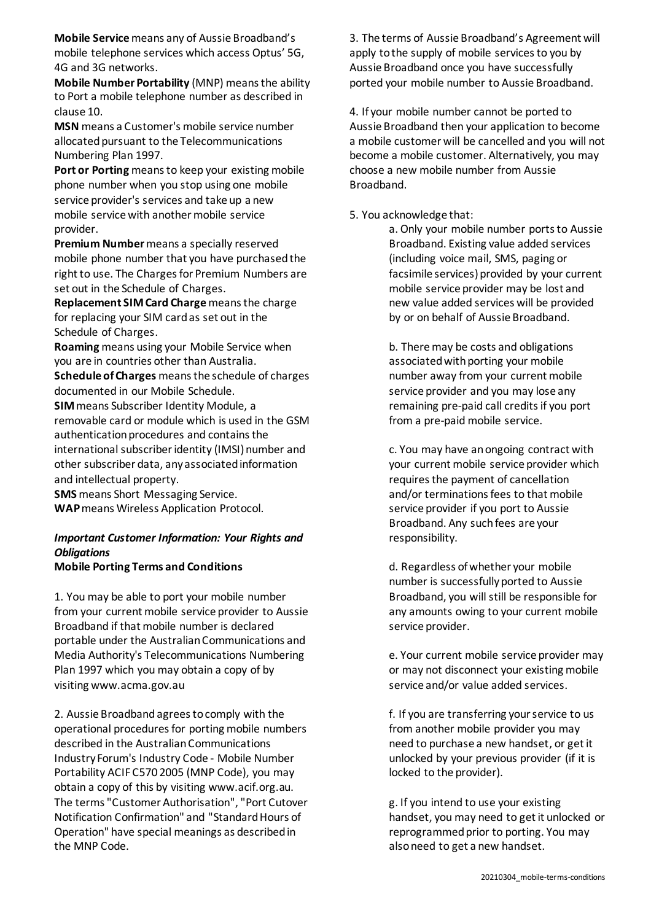**Mobile Service** means any of Aussie Broadband's mobile telephone services which access Optus' 5G, 4G and 3G networks.

**Mobile Number Portability** (MNP) means the ability to Port a mobile telephone number as described in clause 10.

**MSN** means a Customer's mobile service number allocated pursuant to the Telecommunications Numbering Plan 1997.

**Port or Porting** means to keep your existing mobile phone number when you stop using one mobile service provider's services and take up a new mobile service with another mobile service provider.

**Premium Number** means a specially reserved mobile phone number that you have purchased the right to use. The Charges for Premium Numbers are set out in the Schedule of Charges.

**Replacement SIM Card Charge** means the charge for replacing your SIM card as set out in the Schedule of Charges.

**Roaming** means using your Mobile Service when you are in countries other than Australia.

**Schedule of Charges** means the schedule of charges documented in our Mobile Schedule.

**SIM** means Subscriber Identity Module, a removable card or module which is used in the GSM authentication procedures and contains the international subscriber identity (IMSI) number and other subscriber data, any associated information and intellectual property.

**SMS** means Short Messaging Service. **WAP** means Wireless Application Protocol.

## *Important Customer Information: Your Rights and Obligations*  **Mobile Porting Terms and Conditions**

1. You may be able to port your mobile number from your current mobile service provider to Aussie Broadband if that mobile number is declared portable under the Australian Communications and Media Authority's Telecommunications Numbering Plan 1997 which you may obtain a copy of by visiting www.acma.gov.au

2. Aussie Broadband agrees to comply with the operational procedures for porting mobile numbers described in the Australian Communications Industry Forum's Industry Code - Mobile Number Portability ACIF C570 2005 (MNP Code), you may obtain a copy of this by visiting www.acif.org.au. The terms "Customer Authorisation", "Port Cutover Notification Confirmation" and "Standard Hours of Operation" have special meanings as described in the MNP Code.

3. The terms of Aussie Broadband's Agreement will apply to the supply of mobile services to you by Aussie Broadband once you have successfully ported your mobile number to Aussie Broadband.

4. If your mobile number cannot be ported to Aussie Broadband then your application to become a mobile customer will be cancelled and you will not become a mobile customer. Alternatively, you may choose a new mobile number from Aussie Broadband.

5. You acknowledge that:

a. Only your mobile number ports to Aussie Broadband. Existing value added services (including voice mail, SMS, paging or facsimile services) provided by your current mobile service provider may be lost and new value added services will be provided by or on behalf of Aussie Broadband.

b. There may be costs and obligations associated with porting your mobile number away from your current mobile service provider and you may lose any remaining pre-paid call credits if you port from a pre-paid mobile service.

c. You may have an ongoing contract with your current mobile service provider which requires the payment of cancellation and/or terminations fees to that mobile service provider if you port to Aussie Broadband. Any such fees are your responsibility.

d. Regardless of whether your mobile number is successfully ported to Aussie Broadband, you will still be responsible for any amounts owing to your current mobile service provider.

e. Your current mobile service provider may or may not disconnect your existing mobile service and/or value added services.

f. If you are transferring your service to us from another mobile provider you may need to purchase a new handset, or get it unlocked by your previous provider (if it is locked to the provider).

g. If you intend to use your existing handset, you may need to get it unlocked or reprogrammed prior to porting. You may also need to get a new handset.